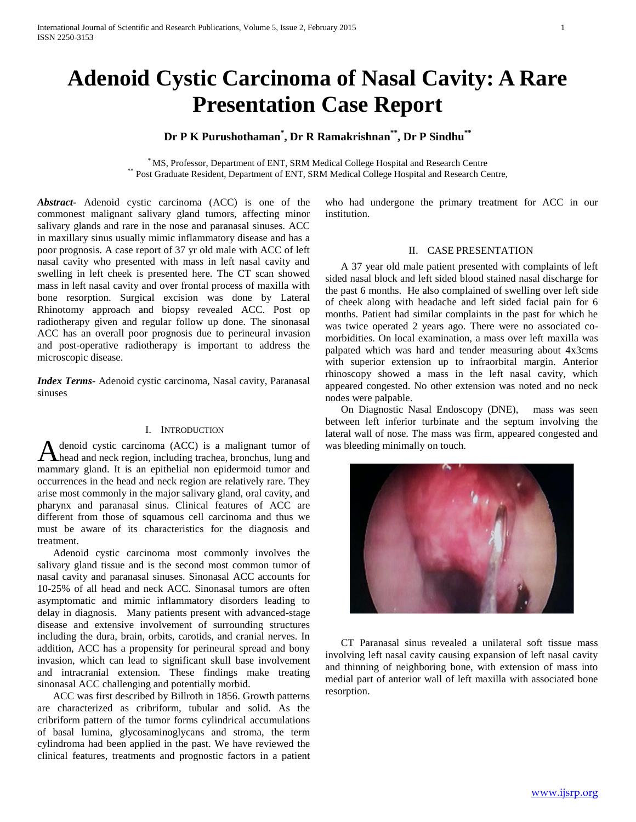# **Adenoid Cystic Carcinoma of Nasal Cavity: A Rare Presentation Case Report**

# **Dr P K Purushothaman\* , Dr R Ramakrishnan\*\*, Dr P Sindhu\*\***

\* MS, Professor, Department of ENT, SRM Medical College Hospital and Research Centre \*\* Post Graduate Resident, Department of ENT, SRM Medical College Hospital and Research Centre,

*Abstract***-** Adenoid cystic carcinoma (ACC) is one of the commonest malignant salivary gland tumors, affecting minor salivary glands and rare in the nose and paranasal sinuses. ACC in maxillary sinus usually mimic inflammatory disease and has a poor prognosis. A case report of 37 yr old male with ACC of left nasal cavity who presented with mass in left nasal cavity and swelling in left cheek is presented here. The CT scan showed mass in left nasal cavity and over frontal process of maxilla with bone resorption. Surgical excision was done by Lateral Rhinotomy approach and biopsy revealed ACC. Post op radiotherapy given and regular follow up done. The sinonasal ACC has an overall poor prognosis due to perineural invasion and post-operative radiotherapy is important to address the microscopic disease.

*Index Terms*- Adenoid cystic carcinoma, Nasal cavity, Paranasal sinuses

#### I. INTRODUCTION

denoid cystic carcinoma (ACC) is a malignant tumor of A denoid cystic carcinoma (ACC) is a malignant tumor of head and neck region, including trachea, bronchus, lung and mammary gland. It is an epithelial non epidermoid tumor and occurrences in the head and neck region are relatively rare. They arise most commonly in the major salivary gland, oral cavity, and pharynx and paranasal sinus. Clinical features of ACC are different from those of squamous cell carcinoma and thus we must be aware of its characteristics for the diagnosis and treatment.

 Adenoid cystic carcinoma most commonly involves the salivary gland tissue and is the second most common tumor of nasal cavity and paranasal sinuses. Sinonasal ACC accounts for 10-25% of all head and neck ACC. Sinonasal tumors are often asymptomatic and mimic inflammatory disorders leading to delay in diagnosis. Many patients present with advanced-stage disease and extensive involvement of surrounding structures including the dura, brain, orbits, carotids, and cranial nerves. In addition, ACC has a propensity for perineural spread and bony invasion, which can lead to significant skull base involvement and intracranial extension. These findings make treating sinonasal ACC challenging and potentially morbid.

 ACC was first described by Billroth in 1856. Growth patterns are characterized as cribriform, tubular and solid. As the cribriform pattern of the tumor forms cylindrical accumulations of basal lumina, glycosaminoglycans and stroma, the term cylindroma had been applied in the past. We have reviewed the clinical features, treatments and prognostic factors in a patient who had undergone the primary treatment for ACC in our institution.

### II. CASE PRESENTATION

 A 37 year old male patient presented with complaints of left sided nasal block and left sided blood stained nasal discharge for the past 6 months. He also complained of swelling over left side of cheek along with headache and left sided facial pain for 6 months. Patient had similar complaints in the past for which he was twice operated 2 years ago. There were no associated comorbidities. On local examination, a mass over left maxilla was palpated which was hard and tender measuring about 4x3cms with superior extension up to infraorbital margin. Anterior rhinoscopy showed a mass in the left nasal cavity, which appeared congested. No other extension was noted and no neck nodes were palpable.

 On Diagnostic Nasal Endoscopy (DNE), mass was seen between left inferior turbinate and the septum involving the lateral wall of nose. The mass was firm, appeared congested and was bleeding minimally on touch.



 CT Paranasal sinus revealed a unilateral soft tissue mass involving left nasal cavity causing expansion of left nasal cavity and thinning of neighboring bone, with extension of mass into medial part of anterior wall of left maxilla with associated bone resorption.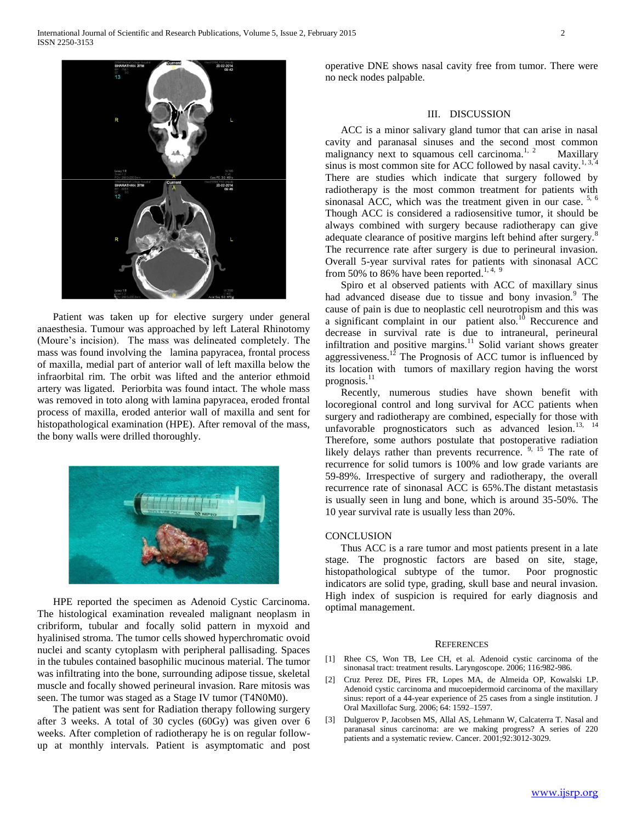

 Patient was taken up for elective surgery under general anaesthesia. Tumour was approached by left Lateral Rhinotomy (Moure's incision). The mass was delineated completely. The mass was found involving the lamina papyracea, frontal process of maxilla, medial part of anterior wall of left maxilla below the infraorbital rim. The orbit was lifted and the anterior ethmoid artery was ligated. Periorbita was found intact. The whole mass was removed in toto along with lamina papyracea, eroded frontal process of maxilla, eroded anterior wall of maxilla and sent for histopathological examination (HPE). After removal of the mass, the bony walls were drilled thoroughly.



 HPE reported the specimen as Adenoid Cystic Carcinoma. The histological examination revealed malignant neoplasm in cribriform, tubular and focally solid pattern in myxoid and hyalinised stroma. The tumor cells showed hyperchromatic ovoid nuclei and scanty cytoplasm with peripheral pallisading. Spaces in the tubules contained basophilic mucinous material. The tumor was infiltrating into the bone, surrounding adipose tissue, skeletal muscle and focally showed perineural invasion. Rare mitosis was seen. The tumor was staged as a Stage IV tumor (T4N0M0).

 The patient was sent for Radiation therapy following surgery after 3 weeks. A total of 30 cycles (60Gy) was given over 6 weeks. After completion of radiotherapy he is on regular followup at monthly intervals. Patient is asymptomatic and post

operative DNE shows nasal cavity free from tumor. There were no neck nodes palpable.

## III. DISCUSSION

 ACC is a minor salivary gland tumor that can arise in nasal cavity and paranasal sinuses and the second most common malignancy next to squamous cell carcinoma.<sup>1, 2</sup> Maxillary sinus is most common site for ACC followed by nasal cavity.<sup>1, 3, 4</sup> There are studies which indicate that surgery followed by radiotherapy is the most common treatment for patients with sinonasal ACC, which was the treatment given in our case.  $5, 6$ Though ACC is considered a radiosensitive tumor, it should be always combined with surgery because radiotherapy can give adequate clearance of positive margins left behind after surgery.<sup>8</sup> The recurrence rate after surgery is due to perineural invasion. Overall 5-year survival rates for patients with sinonasal ACC from 50% to 86% have been reported.<sup>1, 4, 9</sup>

 Spiro et al observed patients with ACC of maxillary sinus had advanced disease due to tissue and bony invasion.<sup>9</sup> The cause of pain is due to neoplastic cell neurotropism and this was a significant complaint in our patient also.<sup>10</sup> Reccurence and decrease in survival rate is due to intraneural, perineural infiltration and positive margins.<sup>11</sup> Solid variant shows greater aggressiveness.<sup>12</sup> The Prognosis of ACC tumor is influenced by its location with tumors of maxillary region having the worst prognosis.<sup>11</sup>

 Recently, numerous studies have shown benefit with locoregional control and long survival for ACC patients when surgery and radiotherapy are combined, especially for those with unfavorable prognosticators such as advanced lesion.<sup>13, 14</sup> Therefore, some authors postulate that postoperative radiation likely delays rather than prevents recurrence. <sup>9, 15</sup> The rate of recurrence for solid tumors is 100% and low grade variants are 59-89%. Irrespective of surgery and radiotherapy, the overall recurrence rate of sinonasal ACC is 65%.The distant metastasis is usually seen in lung and bone, which is around 35-50%. The 10 year survival rate is usually less than 20%.

#### **CONCLUSION**

 Thus ACC is a rare tumor and most patients present in a late stage. The prognostic factors are based on site, stage, histopathological subtype of the tumor. Poor prognostic indicators are solid type, grading, skull base and neural invasion. High index of suspicion is required for early diagnosis and optimal management.

#### **REFERENCES**

- [1] Rhee CS, Won TB, Lee CH, et al. Adenoid cystic carcinoma of the sinonasal tract: treatment results. Laryngoscope. 2006; 116:982-986.
- [2] Cruz Perez DE, Pires FR, Lopes MA, de Almeida OP, Kowalski LP. Adenoid cystic carcinoma and mucoepidermoid carcinoma of the maxillary sinus: report of a 44-year experience of 25 cases from a single institution. J Oral Maxillofac Surg. 2006; 64: 1592–1597.
- [3] Dulguerov P, Jacobsen MS, Allal AS, Lehmann W, Calcaterra T. Nasal and paranasal sinus carcinoma: are we making progress? A series of 220 patients and a systematic review. Cancer. 2001;92:3012-3029.